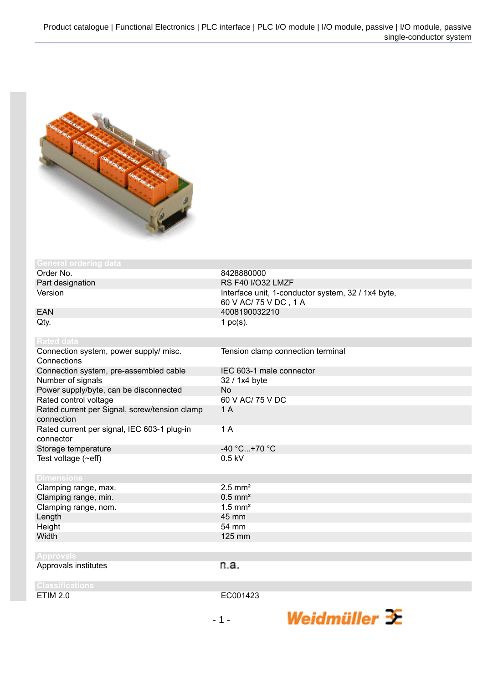

| <b>General ordering data</b>                                |                                                    |
|-------------------------------------------------------------|----------------------------------------------------|
| Order No.                                                   | 8428880000                                         |
| Part designation                                            | <b>RS F40 I/O32 LMZF</b>                           |
| Version                                                     | Interface unit, 1-conductor system, 32 / 1x4 byte, |
|                                                             | 60 V AC/ 75 V DC, 1 A                              |
| <b>EAN</b>                                                  | 4008190032210                                      |
| Qty.                                                        | 1 $pc(s)$ .                                        |
| <b>Rated data</b>                                           |                                                    |
| Connection system, power supply/ misc.<br>Connections       | Tension clamp connection terminal                  |
| Connection system, pre-assembled cable                      | IEC 603-1 male connector                           |
| Number of signals                                           | 32 / 1x4 byte                                      |
| Power supply/byte, can be disconnected                      | <b>No</b>                                          |
| Rated control voltage                                       | 60 V AC/ 75 V DC                                   |
| Rated current per Signal, screw/tension clamp<br>connection | 1A                                                 |
| Rated current per signal, IEC 603-1 plug-in<br>connector    | 1A                                                 |
| Storage temperature                                         | $-40 °C+70 °C$                                     |
| Test voltage $(\sim eff)$                                   | $0.5$ kV                                           |
|                                                             |                                                    |
| <b>Dimensions</b>                                           |                                                    |
| Clamping range, max.                                        | $2.5$ mm <sup>2</sup>                              |
| Clamping range, min.                                        | $0.5$ mm <sup>2</sup>                              |
| Clamping range, nom.                                        | $1.5$ mm <sup>2</sup>                              |
| Length                                                      | 45 mm                                              |
| Height                                                      | 54 mm                                              |
| Width                                                       | 125 mm                                             |
| <b>Approvals</b>                                            |                                                    |
| Approvals institutes                                        | n.a.                                               |
| <b>Classifications</b>                                      |                                                    |
| <b>ETIM 2.0</b>                                             | EC001423                                           |

Weidmüller  $\mathcal{\mathcal{F}}$